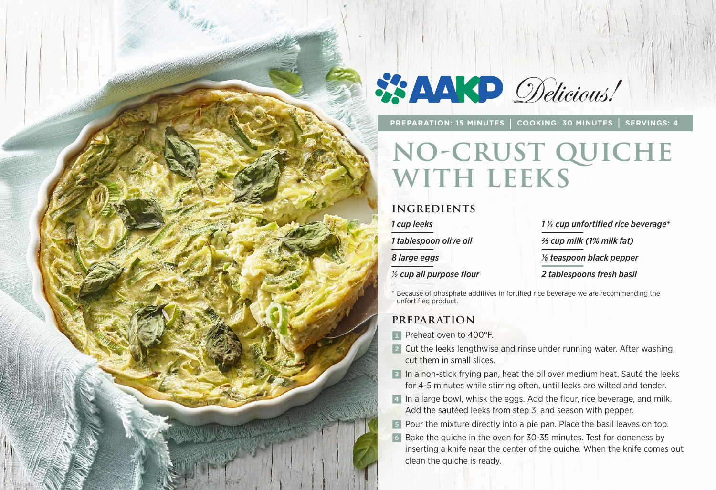

**PREPARATION: 15 MINUTES | COOKING: 30 MINUTES | SERVINGS: 4**

# **no-crust QUICHE WITH LEEKS**

#### **INGREDIENTS**

*1 cup leeks*

*1 tablespoon olive oil*

*8 large eggs*

*½ cup all purpose flour*

*1 1/3 cup unfortified rice beverage\**

*2/3 cup milk (1% milk fat)*

*1/8 teaspoon black pepper*

*2 tablespoons fresh basil*

\* Because of phosphate additives in fortified rice beverage we are recommending the unfortified product.

### **PREPARATION**

- **1** Preheat oven to 400°F.
- 2 Cut the leeks lengthwise and rinse under running water. After washing, cut them in small slices.
- **3** In a non-stick frying pan, heat the oil over medium heat. Sauté the leeks for 4-5 minutes while stirring often, until leeks are wilted and tender.
- 4 In a large bowl, whisk the eggs. Add the flour, rice beverage, and milk. Add the sautéed leeks from step 3, and season with pepper.
- **5** Pour the mixture directly into a pie pan. Place the basil leaves on top.
- 6 Bake the quiche in the oven for 30-35 minutes. Test for doneness by inserting a knife near the center of the quiche. When the knife comes out clean the quiche is ready.